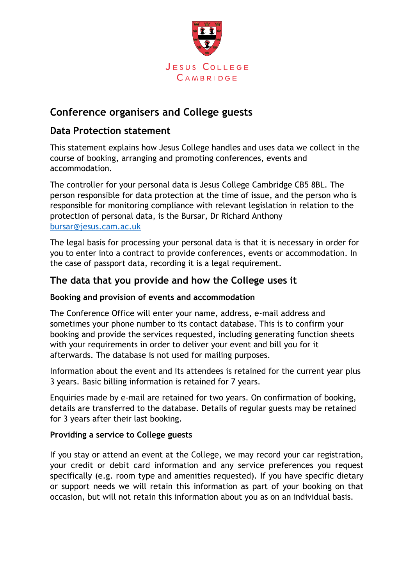

# **Conference organisers and College guests**

## **Data Protection statement**

This statement explains how Jesus College handles and uses data we collect in the course of booking, arranging and promoting conferences, events and accommodation.

The controller for your personal data is Jesus College Cambridge CB5 8BL. The person responsible for data protection at the time of issue, and the person who is responsible for monitoring compliance with relevant legislation in relation to the protection of personal data, is the Bursar, Dr Richard Anthony [bursar@jesus.cam.ac.uk](mailto:bursar@jesus.cam.ac.uk)

The legal basis for processing your personal data is that it is necessary in order for you to enter into a contract to provide conferences, events or accommodation. In the case of passport data, recording it is a legal requirement.

## **The data that you provide and how the College uses it**

#### **Booking and provision of events and accommodation**

The Conference Office will enter your name, address, e-mail address and sometimes your phone number to its contact database. This is to confirm your booking and provide the services requested, including generating function sheets with your requirements in order to deliver your event and bill you for it afterwards. The database is not used for mailing purposes.

Information about the event and its attendees is retained for the current year plus 3 years. Basic billing information is retained for 7 years.

Enquiries made by e-mail are retained for two years. On confirmation of booking, details are transferred to the database. Details of regular guests may be retained for 3 years after their last booking.

#### **Providing a service to College guests**

If you stay or attend an event at the College, we may record your car registration, your credit or debit card information and any service preferences you request specifically (e.g. room type and amenities requested). If you have specific dietary or support needs we will retain this information as part of your booking on that occasion, but will not retain this information about you as on an individual basis.